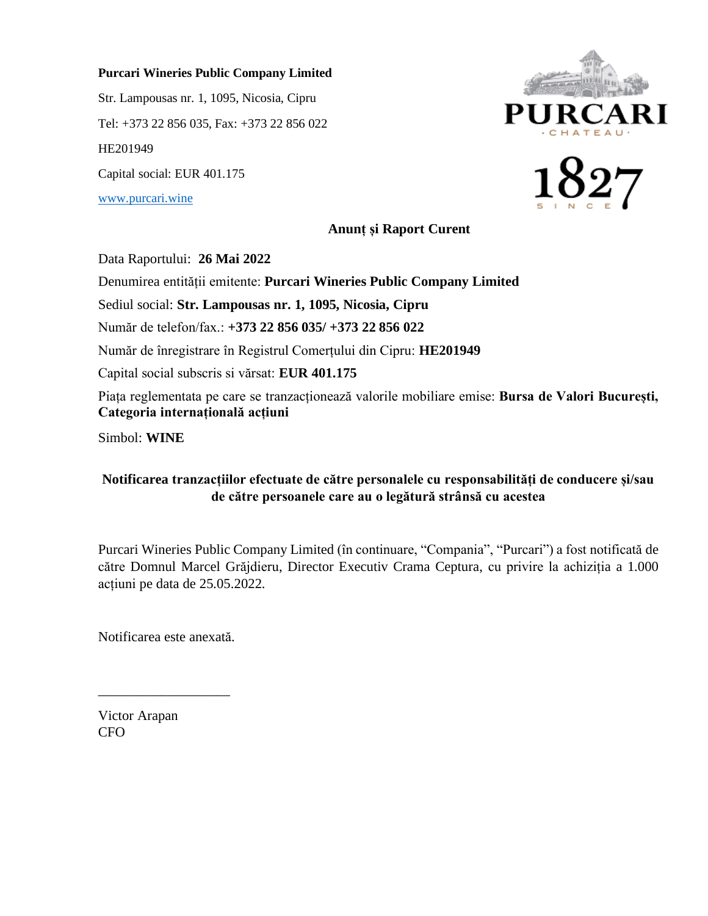## **Purcari Wineries Public Company Limited**

Str. Lampousas nr. 1, 1095, Nicosia, Cipru Tel: +373 22 856 035, Fax: +373 22 856 022 HE201949 Capital social: EUR 401.175 [www.purcari.wine](http://www.purcari.wine/)





**Anunț și Raport Curent**

Data Raportului: **26 Mai 2022**

Denumirea entității emitente: **Purcari Wineries Public Company Limited**

Sediul social: **Str. Lampousas nr. 1, 1095, Nicosia, Cipru**

Număr de telefon/fax.: **+373 22 856 035/ +373 22 856 022**

Număr de înregistrare în Registrul Comerțului din Cipru: **HE201949**

Capital social subscris si vărsat: **EUR 401.175**

Piața reglementata pe care se tranzacționează valorile mobiliare emise: **Bursa de Valori București, Categoria internațională acțiuni**

Simbol: **WINE**

## **Notificarea tranzacțiilor efectuate de către personalele cu responsabilități de conducere și/sau de către persoanele care au o legătură strânsă cu acestea**

Purcari Wineries Public Company Limited (în continuare, "Compania", "Purcari") a fost notificată de către Domnul Marcel Grăjdieru, Director Executiv Crama Ceptura, cu privire la achiziția a 1.000 acțiuni pe data de 25.05.2022.

Notificarea este anexată.

\_\_\_\_\_\_\_\_\_\_\_\_\_\_\_\_\_\_\_

Victor Arapan CFO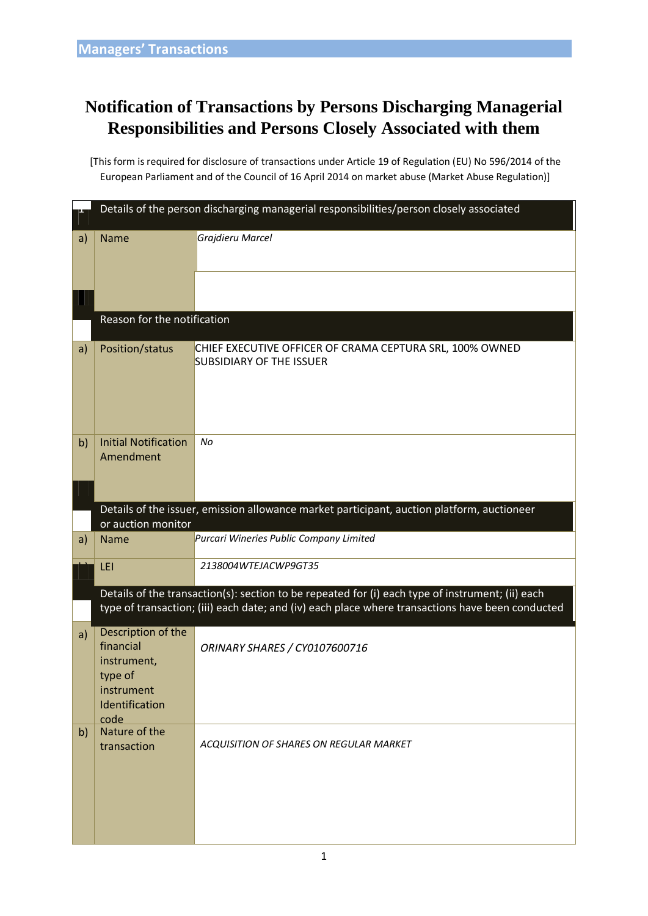## **Notification of Transactions by Persons Discharging Managerial Responsibilities and Persons Closely Associated with them**

[This form is required for disclosure of transactions under Article 19 of Regulation (EU) No 596/2014 of the European Parliament and of the Council of 16 April 2014 on market abuse (Market Abuse Regulation)]

|    | Details of the person discharging managerial responsibilities/person closely associated                                                                                                              |                                                                                             |  |  |  |  |
|----|------------------------------------------------------------------------------------------------------------------------------------------------------------------------------------------------------|---------------------------------------------------------------------------------------------|--|--|--|--|
| a) | <b>Name</b>                                                                                                                                                                                          | Grajdieru Marcel                                                                            |  |  |  |  |
|    |                                                                                                                                                                                                      |                                                                                             |  |  |  |  |
|    | Reason for the notification                                                                                                                                                                          |                                                                                             |  |  |  |  |
| a) | Position/status                                                                                                                                                                                      | CHIEF EXECUTIVE OFFICER OF CRAMA CEPTURA SRL, 100% OWNED<br><b>SUBSIDIARY OF THE ISSUER</b> |  |  |  |  |
| b) | <b>Initial Notification</b><br>Amendment                                                                                                                                                             | No                                                                                          |  |  |  |  |
|    | Details of the issuer, emission allowance market participant, auction platform, auctioneer<br>or auction monitor                                                                                     |                                                                                             |  |  |  |  |
| a) | <b>Name</b>                                                                                                                                                                                          | Purcari Wineries Public Company Limited                                                     |  |  |  |  |
|    | LEI                                                                                                                                                                                                  | 2138004WTEJACWP9GT35                                                                        |  |  |  |  |
|    | Details of the transaction(s): section to be repeated for (i) each type of instrument; (ii) each<br>type of transaction; (iii) each date; and (iv) each place where transactions have been conducted |                                                                                             |  |  |  |  |
| a) | Description of the<br>financial<br>instrument,<br>type of<br>instrument<br>Identification<br>code                                                                                                    | ORINARY SHARES / CY0107600716                                                               |  |  |  |  |
| b) | Nature of the<br>transaction                                                                                                                                                                         | ACOUISITION OF SHARES ON REGULAR MARKET                                                     |  |  |  |  |